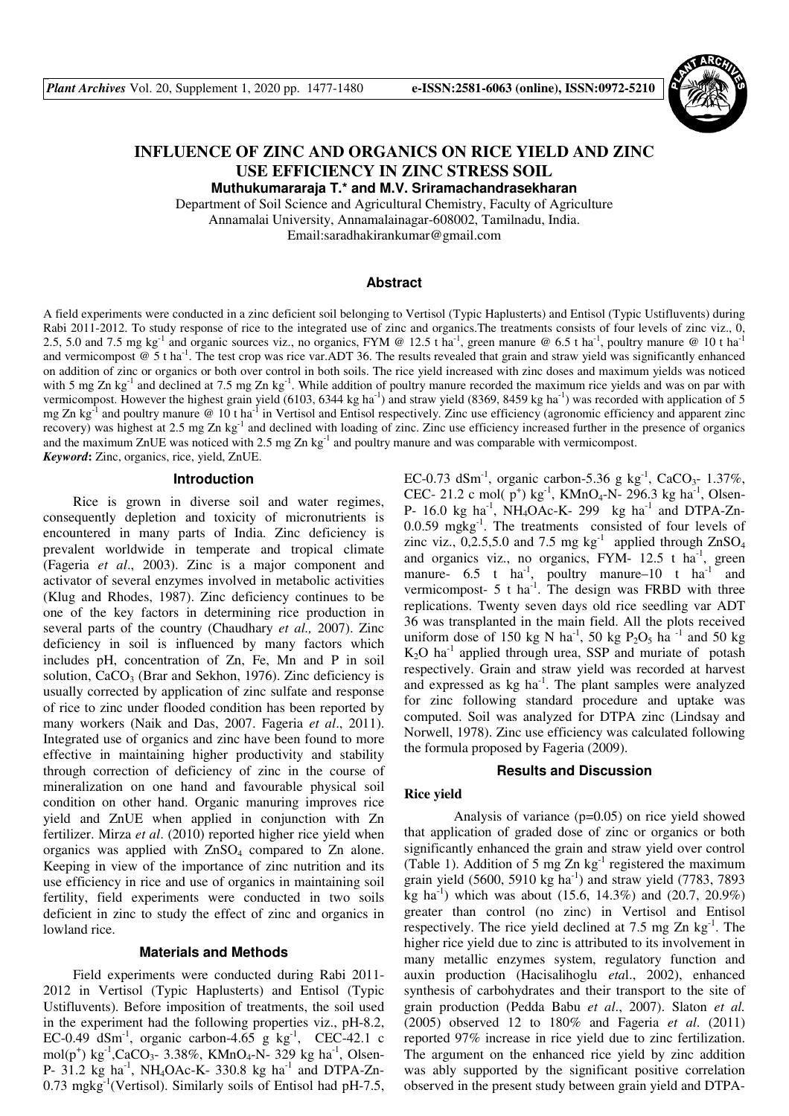*-1480* 



# **INFLUENCE OF ZINC AND ORGANICS ON RICE YIELD AND ZINC USE EFFICIENCY IN ZINC STRESS SOIL**

**Muthukumararaja T.\* and M.V. Sriramachandrasekharan**

Department of Soil Science and Agricultural Chemistry, Faculty of Agriculture Annamalai University, Annamalainagar-608002, Tamilnadu, India.

Email:saradhakirankumar@gmail.com

# **Abstract**

A field experiments were conducted in a zinc deficient soil belonging to Vertisol (Typic Haplusterts) and Entisol (Typic Ustifluvents) during Rabi 2011-2012. To study response of rice to the integrated use of zinc and organics.The treatments consists of four levels of zinc viz., 0, 2.5, 5.0 and 7.5 mg kg<sup>-1</sup> and organic sources viz., no organics, FYM @ 12.5 t ha<sup>-1</sup>, green manure @ 6.5 t ha<sup>-1</sup>, poultry manure @ 10 t ha<sup>-1</sup> and vermicompost  $\omega$  5 t ha<sup>-1</sup>. The test crop was rice var.ADT 36. The results revealed that grain and straw yield was significantly enhanced on addition of zinc or organics or both over control in both soils. The rice yield increased with zinc doses and maximum yields was noticed with 5 mg Zn kg<sup>-1</sup> and declined at 7.5 mg Zn kg<sup>-1</sup>. While addition of poultry manure recorded the maximum rice yields and was on par with vermicompost. However the highest grain yield (6103, 6344 kg ha<sup>-1</sup>) and straw yield (8369, 8459 kg ha<sup>-1</sup>) was recorded with application of 5 mg Zn kg<sup>-1</sup> and poultry manure @ 10 t ha<sup>-1</sup> in Vertisol and Entisol respectively. Zinc use efficiency (agronomic efficiency and apparent zinc recovery) was highest at 2.5 mg Zn kg-1 and declined with loading of zinc. Zinc use efficiency increased further in the presence of organics and the maximum ZnUE was noticed with 2.5 mg Zn  $kg^{-1}$  and poultry manure and was comparable with vermicompost. *Keyword***:** Zinc, organics, rice, yield, ZnUE.

#### **Introduction**

Rice is grown in diverse soil and water regimes, consequently depletion and toxicity of micronutrients is encountered in many parts of India. Zinc deficiency is prevalent worldwide in temperate and tropical climate (Fageria *et al*., 2003). Zinc is a major component and activator of several enzymes involved in metabolic activities (Klug and Rhodes, 1987). Zinc deficiency continues to be one of the key factors in determining rice production in several parts of the country (Chaudhary *et al.,* 2007). Zinc deficiency in soil is influenced by many factors which includes pH, concentration of Zn, Fe, Mn and P in soil solution,  $CaCO<sub>3</sub>$  (Brar and Sekhon, 1976). Zinc deficiency is usually corrected by application of zinc sulfate and response of rice to zinc under flooded condition has been reported by many workers (Naik and Das, 2007. Fageria *et al*., 2011). Integrated use of organics and zinc have been found to more effective in maintaining higher productivity and stability through correction of deficiency of zinc in the course of mineralization on one hand and favourable physical soil condition on other hand. Organic manuring improves rice yield and ZnUE when applied in conjunction with Zn fertilizer. Mirza *et al*. (2010) reported higher rice yield when organics was applied with  $ZnSO<sub>4</sub>$  compared to  $Zn$  alone. Keeping in view of the importance of zinc nutrition and its use efficiency in rice and use of organics in maintaining soil fertility, field experiments were conducted in two soils deficient in zinc to study the effect of zinc and organics in lowland rice.

#### **Materials and Methods**

Field experiments were conducted during Rabi 2011- 2012 in Vertisol (Typic Haplusterts) and Entisol (Typic Ustifluvents). Before imposition of treatments, the soil used in the experiment had the following properties viz., pH-8.2, EC-0.49 dSm<sup>-1</sup>, organic carbon-4.65 g kg<sup>-1</sup>, CEC-42.1 c  $mol(p^{+})$  kg<sup>-1</sup>,CaCO<sub>3</sub>- 3.38%, KMnO<sub>4</sub>-N- 329 kg ha<sup>-1</sup>, Olsen-P- 31.2 kg ha<sup>-1</sup>, NH<sub>4</sub>OAc-K- 330.8 kg ha<sup>-1</sup> and DTPA-Zn- $0.73 \text{ mgkg}^{-1}$  (Vertisol). Similarly soils of Entisol had pH-7.5, EC-0.73 dSm<sup>-1</sup>, organic carbon-5.36 g kg<sup>-1</sup>, CaCO<sub>3</sub>- 1.37%, CEC- 21.2 c mol( $p^+$ ) kg<sup>-1</sup>, KMnO<sub>4</sub>-N- 296.3 kg ha<sup>-1</sup>, Olsen-P- 16.0 kg ha<sup>-1</sup>, NH<sub>4</sub>OAc-K- 299 kg ha<sup>-1</sup> and DTPA-Zn-0.0.59 mgkg-1. The treatments consisted of four levels of zinc viz.,  $0,2.5,5.0$  and 7.5 mg kg<sup>-1</sup> applied through ZnSO<sub>4</sub> and organics viz., no organics, FYM-  $12.5$  t ha<sup>-1</sup>, green manure-  $6.5$  t ha<sup>-1</sup>, poultry manure-10 t ha<sup>-1</sup> and vermicompost-  $5$  t ha<sup>-1</sup>. The design was FRBD with three replications. Twenty seven days old rice seedling var ADT 36 was transplanted in the main field. All the plots received uniform dose of 150 kg N ha<sup>-1</sup>, 50 kg P<sub>2</sub>O<sub>5</sub> ha<sup>-1</sup> and 50 kg  $K_2O$  ha<sup>-1</sup> applied through urea, SSP and muriate of potash respectively. Grain and straw yield was recorded at harvest and expressed as kg ha<sup>-1</sup>. The plant samples were analyzed for zinc following standard procedure and uptake was computed. Soil was analyzed for DTPA zinc (Lindsay and Norwell, 1978). Zinc use efficiency was calculated following the formula proposed by Fageria (2009).

#### **Results and Discussion**

#### **Rice yield**

 Analysis of variance (p=0.05) on rice yield showed that application of graded dose of zinc or organics or both significantly enhanced the grain and straw yield over control (Table 1). Addition of 5 mg Zn  $kg<sup>-1</sup>$  registered the maximum grain yield  $(5600, 5910 \text{ kg ha}^{-1})$  and straw yield  $(7783, 7893)$ kg ha<sup>-1</sup>) which was about (15.6, 14.3%) and (20.7, 20.9%) greater than control (no zinc) in Vertisol and Entisol respectively. The rice yield declined at  $7.5 \text{ mg Zn kg}^{-1}$ . The higher rice yield due to zinc is attributed to its involvement in many metallic enzymes system, regulatory function and auxin production (Hacisalihoglu *eta*l., 2002), enhanced synthesis of carbohydrates and their transport to the site of grain production (Pedda Babu *et al*., 2007). Slaton *et al.* (2005) observed 12 to 180% and Fageria *et al*. (2011) reported 97% increase in rice yield due to zinc fertilization. The argument on the enhanced rice yield by zinc addition was ably supported by the significant positive correlation observed in the present study between grain yield and DTPA-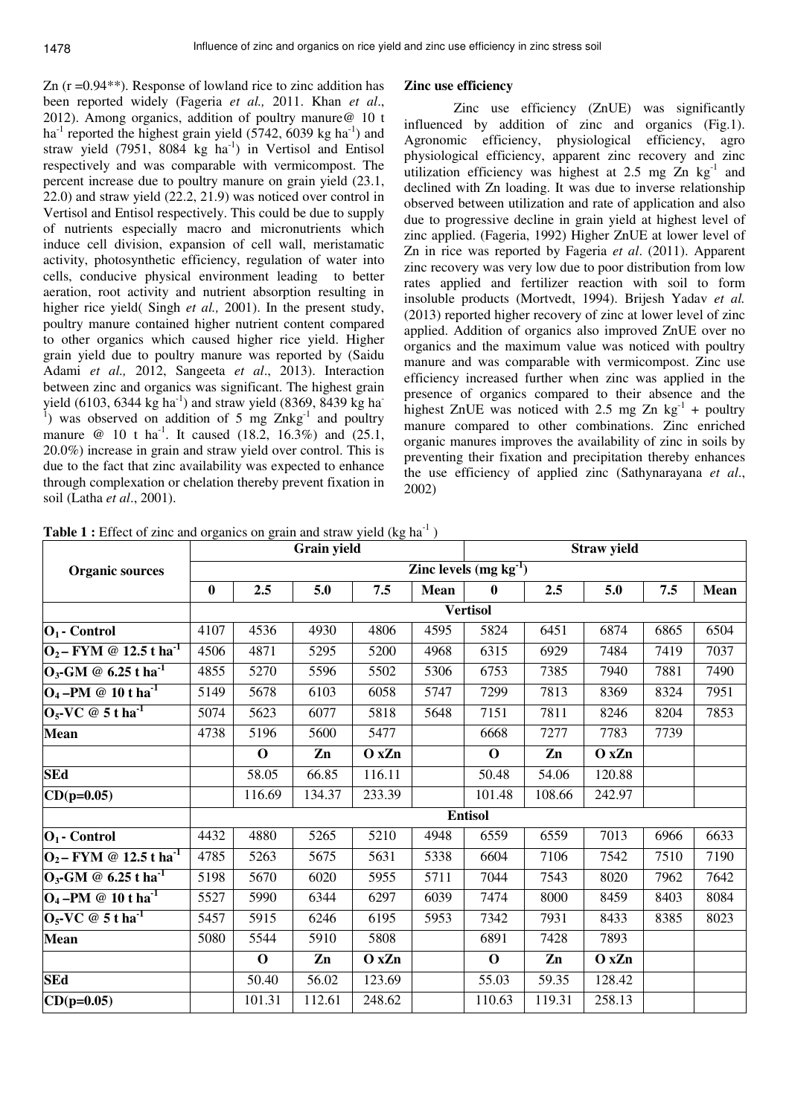Zn (r =0.94\*\*). Response of lowland rice to zinc addition has been reported widely (Fageria *et al.,* 2011. Khan *et al*., 2012). Among organics, addition of poultry manure@ 10 t  $ha^{-1}$  reported the highest grain yield (5742, 6039 kg ha<sup>-1</sup>) and straw yield  $(7951, 8084 \text{ kg ha}^{-1})$  in Vertisol and Entisol respectively and was comparable with vermicompost. The percent increase due to poultry manure on grain yield (23.1, 22.0) and straw yield (22.2, 21.9) was noticed over control in Vertisol and Entisol respectively. This could be due to supply of nutrients especially macro and micronutrients which induce cell division, expansion of cell wall, meristamatic activity, photosynthetic efficiency, regulation of water into cells, conducive physical environment leading to better aeration, root activity and nutrient absorption resulting in higher rice yield( Singh *et al.*, 2001). In the present study, poultry manure contained higher nutrient content compared to other organics which caused higher rice yield. Higher grain yield due to poultry manure was reported by (Saidu Adami *et al.,* 2012, Sangeeta *et al*., 2013). Interaction between zinc and organics was significant. The highest grain yield (6103, 6344 kg ha<sup>-1</sup>) and straw yield (8369, 8439 kg ha<sup>-1</sup>) <sup>1</sup>) was observed on addition of 5 mg  $Znkg<sup>-1</sup>$  and poultry manure  $\omega$  10 t ha<sup>-1</sup>. It caused (18.2, 16.3%) and (25.1, 20.0%) increase in grain and straw yield over control. This is due to the fact that zinc availability was expected to enhance through complexation or chelation thereby prevent fixation in soil (Latha *et al*., 2001).

# **Zinc use efficiency**

 Zinc use efficiency (ZnUE) was significantly influenced by addition of zinc and organics (Fig.1). Agronomic efficiency, physiological efficiency, agro physiological efficiency, apparent zinc recovery and zinc utilization efficiency was highest at 2.5 mg  $Zn$  kg<sup>-1</sup> and declined with Zn loading. It was due to inverse relationship observed between utilization and rate of application and also due to progressive decline in grain yield at highest level of zinc applied. (Fageria, 1992) Higher ZnUE at lower level of Zn in rice was reported by Fageria *et al*. (2011). Apparent zinc recovery was very low due to poor distribution from low rates applied and fertilizer reaction with soil to form insoluble products (Mortvedt, 1994). Brijesh Yadav *et al.*  (2013) reported higher recovery of zinc at lower level of zinc applied. Addition of organics also improved ZnUE over no organics and the maximum value was noticed with poultry manure and was comparable with vermicompost. Zinc use efficiency increased further when zinc was applied in the presence of organics compared to their absence and the highest ZnUE was noticed with 2.5 mg Zn  $kg^{-1}$  + poultry manure compared to other combinations. Zinc enriched organic manures improves the availability of zinc in soils by preventing their fixation and precipitation thereby enhances the use efficiency of applied zinc (Sathynarayana *et al*., 2002)

**Table 1 :** Effect of zinc and organics on grain and straw yield (kg ha<sup>-1</sup>)

|                                              | Grain yield             |             |        |        |      | <b>Straw yield</b> |        |        |      |             |
|----------------------------------------------|-------------------------|-------------|--------|--------|------|--------------------|--------|--------|------|-------------|
| <b>Organic sources</b>                       | Zinc levels $(mg kg-1)$ |             |        |        |      |                    |        |        |      |             |
|                                              | $\bf{0}$                | 2.5         | 5.0    | 7.5    | Mean | $\bf{0}$           | 2.5    | 5.0    | 7.5  | <b>Mean</b> |
|                                              | <b>Vertisol</b>         |             |        |        |      |                    |        |        |      |             |
| $ O_1$ - Control                             | 4107                    | 4536        | 4930   | 4806   | 4595 | 5824               | 6451   | 6874   | 6865 | 6504        |
| $ O_2 - FYM \otimes 12.5$ t ha <sup>-1</sup> | 4506                    | 4871        | 5295   | 5200   | 4968 | 6315               | 6929   | 7484   | 7419 | 7037        |
| $O_3$ -GM @ 6.25 t ha <sup>-1</sup>          | 4855                    | 5270        | 5596   | 5502   | 5306 | 6753               | 7385   | 7940   | 7881 | 7490        |
| $O_4$ -PM @ 10 t ha <sup>-1</sup>            | 5149                    | 5678        | 6103   | 6058   | 5747 | 7299               | 7813   | 8369   | 8324 | 7951        |
| $O_5$ -VC @ 5 t ha <sup>-1</sup>             | 5074                    | 5623        | 6077   | 5818   | 5648 | 7151               | 7811   | 8246   | 8204 | 7853        |
| <b>Mean</b>                                  | 4738                    | 5196        | 5600   | 5477   |      | 6668               | 7277   | 7783   | 7739 |             |
|                                              |                         | $\mathbf 0$ | Zn     | O x Zn |      | $\mathbf 0$        | Zn     | O x Zn |      |             |
| <b>SEd</b>                                   |                         | 58.05       | 66.85  | 116.11 |      | 50.48              | 54.06  | 120.88 |      |             |
| $CD(p=0.05)$                                 |                         | 116.69      | 134.37 | 233.39 |      | 101.48             | 108.66 | 242.97 |      |             |
|                                              | <b>Entisol</b>          |             |        |        |      |                    |        |        |      |             |
| $ O_1$ - Control                             | 4432                    | 4880        | 5265   | 5210   | 4948 | 6559               | 6559   | 7013   | 6966 | 6633        |
| $ O_2 - FYM \otimes 12.5$ t ha <sup>-1</sup> | 4785                    | 5263        | 5675   | 5631   | 5338 | 6604               | 7106   | 7542   | 7510 | 7190        |
| $O_3$ -GM @ 6.25 t ha <sup>-1</sup>          | 5198                    | 5670        | 6020   | 5955   | 5711 | 7044               | 7543   | 8020   | 7962 | 7642        |
| $O_4$ -PM @ 10 t ha <sup>-1</sup>            | 5527                    | 5990        | 6344   | 6297   | 6039 | 7474               | 8000   | 8459   | 8403 | 8084        |
| $O_5$ -VC @ 5 t ha <sup>-1</sup>             | 5457                    | 5915        | 6246   | 6195   | 5953 | 7342               | 7931   | 8433   | 8385 | 8023        |
| <b>Mean</b>                                  | 5080                    | 5544        | 5910   | 5808   |      | 6891               | 7428   | 7893   |      |             |
|                                              |                         | $\mathbf 0$ | Zn     | O x Zn |      | $\mathbf 0$        | Zn     | O x Zn |      |             |
| <b>SEd</b>                                   |                         | 50.40       | 56.02  | 123.69 |      | 55.03              | 59.35  | 128.42 |      |             |
| $CD(p=0.05)$                                 |                         | 101.31      | 112.61 | 248.62 |      | 110.63             | 119.31 | 258.13 |      |             |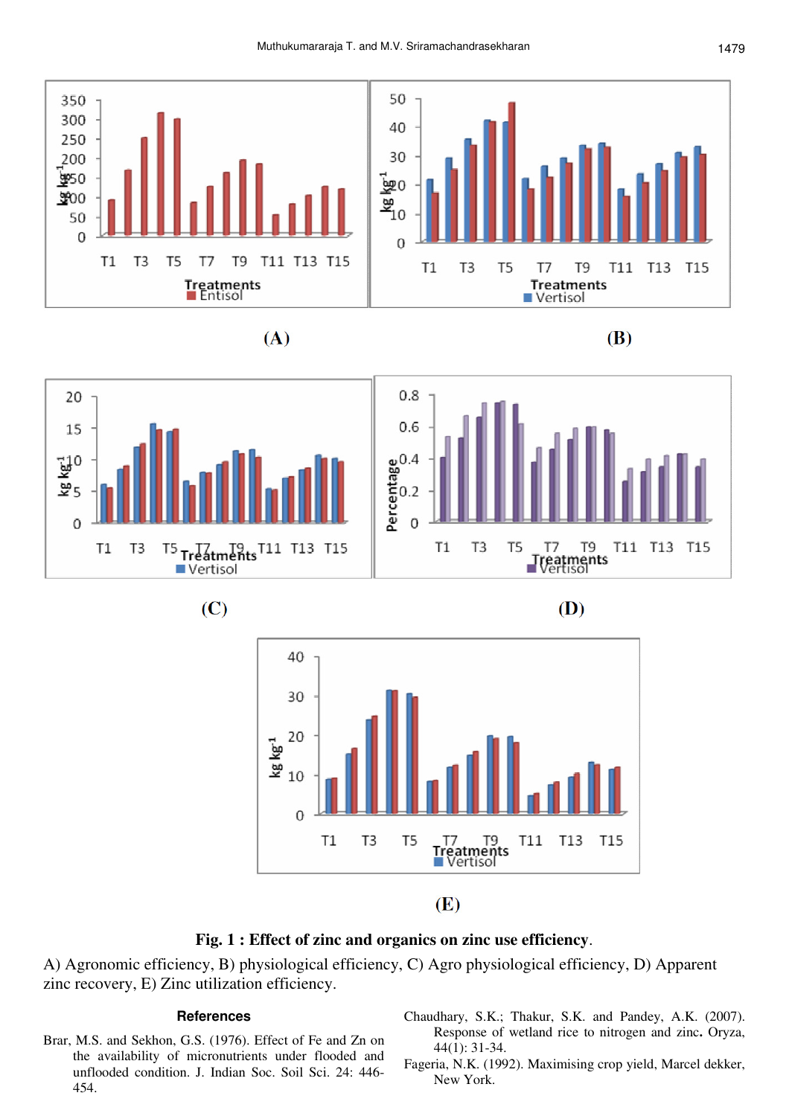









(D)



 $(E)$ 

# **Fig. 1 : Effect of zinc and organics on zinc use efficiency**.

A) Agronomic efficiency, B) physiological efficiency, C) Agro physiological efficiency, D) Apparent zinc recovery, E) Zinc utilization efficiency.

### **References**

- Brar, M.S. and Sekhon, G.S. (1976). Effect of Fe and Zn on the availability of micronutrients under flooded and unflooded condition. J. Indian Soc. Soil Sci. 24: 446- 454.
- Chaudhary, S.K.; Thakur, S.K. and Pandey, A.K. (2007). Response of wetland rice to nitrogen and zinc**.** Oryza, 44(1): 31-34.
- Fageria, N.K. (1992). Maximising crop yield, Marcel dekker, New York.